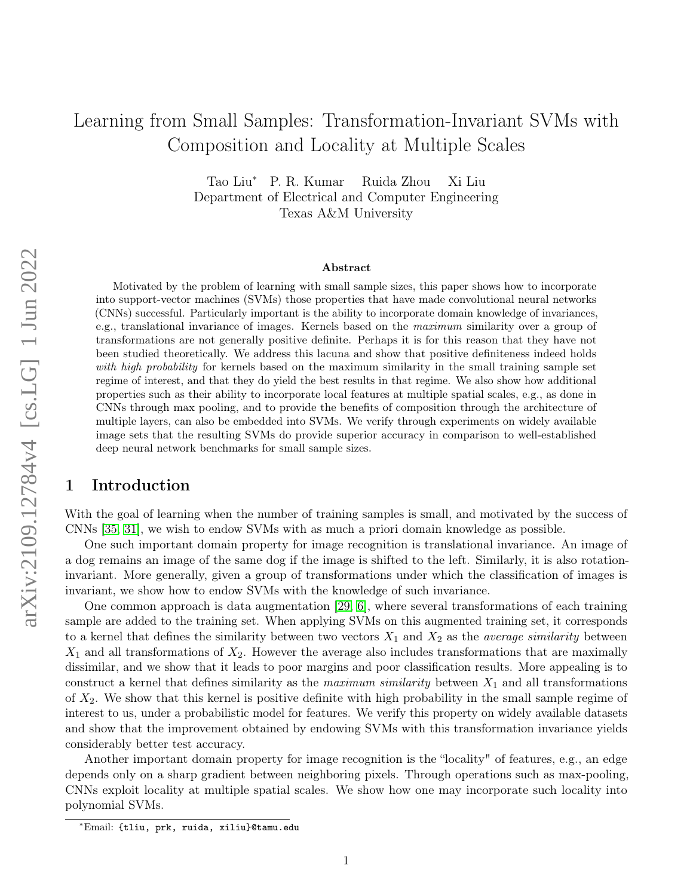# <span id="page-0-0"></span>Learning from Small Samples: Transformation-Invariant SVMs with Composition and Locality at Multiple Scales

Tao Liu<sup>∗</sup> P. R. Kumar Ruida Zhou Xi Liu Department of Electrical and Computer Engineering Texas A&M University

#### Abstract

Motivated by the problem of learning with small sample sizes, this paper shows how to incorporate into support-vector machines (SVMs) those properties that have made convolutional neural networks (CNNs) successful. Particularly important is the ability to incorporate domain knowledge of invariances, e.g., translational invariance of images. Kernels based on the maximum similarity over a group of transformations are not generally positive definite. Perhaps it is for this reason that they have not been studied theoretically. We address this lacuna and show that positive definiteness indeed holds with high probability for kernels based on the maximum similarity in the small training sample set regime of interest, and that they do yield the best results in that regime. We also show how additional properties such as their ability to incorporate local features at multiple spatial scales, e.g., as done in CNNs through max pooling, and to provide the benefits of composition through the architecture of multiple layers, can also be embedded into SVMs. We verify through experiments on widely available image sets that the resulting SVMs do provide superior accuracy in comparison to well-established deep neural network benchmarks for small sample sizes.

# 1 Introduction

With the goal of learning when the number of training samples is small, and motivated by the success of CNNs [\[35,](#page-12-0) [31\]](#page-12-1), we wish to endow SVMs with as much a priori domain knowledge as possible.

One such important domain property for image recognition is translational invariance. An image of a dog remains an image of the same dog if the image is shifted to the left. Similarly, it is also rotationinvariant. More generally, given a group of transformations under which the classification of images is invariant, we show how to endow SVMs with the knowledge of such invariance.

One common approach is data augmentation [\[29,](#page-11-0) [6\]](#page-10-0), where several transformations of each training sample are added to the training set. When applying SVMs on this augmented training set, it corresponds to a kernel that defines the similarity between two vectors  $X_1$  and  $X_2$  as the *average similarity* between  $X_1$  and all transformations of  $X_2$ . However the average also includes transformations that are maximally dissimilar, and we show that it leads to poor margins and poor classification results. More appealing is to construct a kernel that defines similarity as the *maximum similarity* between  $X_1$  and all transformations of  $X_2$ . We show that this kernel is positive definite with high probability in the small sample regime of interest to us, under a probabilistic model for features. We verify this property on widely available datasets and show that the improvement obtained by endowing SVMs with this transformation invariance yields considerably better test accuracy.

Another important domain property for image recognition is the "locality" of features, e.g., an edge depends only on a sharp gradient between neighboring pixels. Through operations such as max-pooling, CNNs exploit locality at multiple spatial scales. We show how one may incorporate such locality into polynomial SVMs.

1

<sup>∗</sup>Email: {tliu, prk, ruida, xiliu}@tamu.edu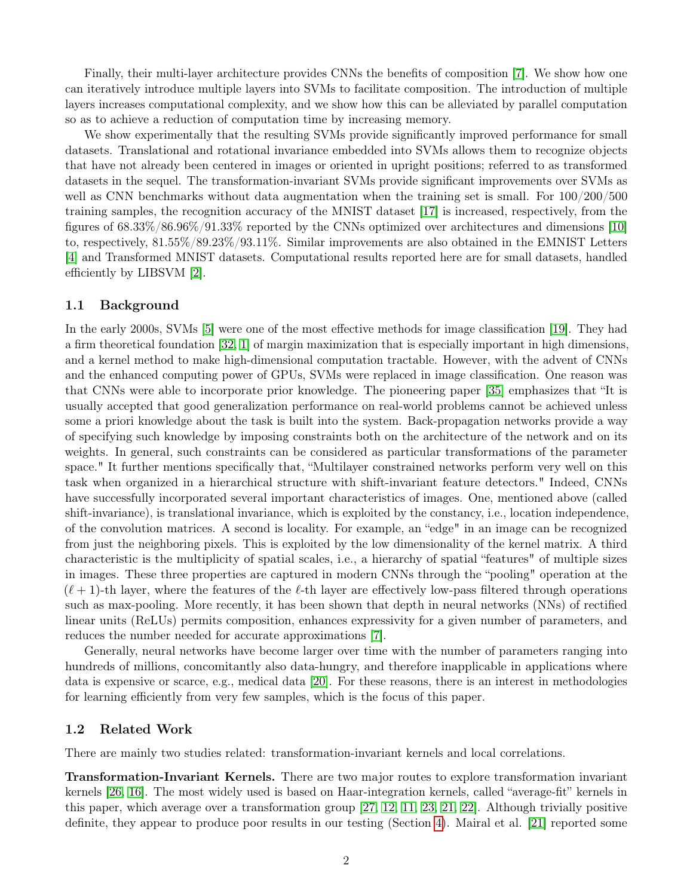Finally, their multi-layer architecture provides CNNs the benefits of composition [\[7\]](#page-10-1). We show how one can iteratively introduce multiple layers into SVMs to facilitate composition. The introduction of multiple layers increases computational complexity, and we show how this can be alleviated by parallel computation so as to achieve a reduction of computation time by increasing memory.

We show experimentally that the resulting SVMs provide significantly improved performance for small datasets. Translational and rotational invariance embedded into SVMs allows them to recognize objects that have not already been centered in images or oriented in upright positions; referred to as transformed datasets in the sequel. The transformation-invariant SVMs provide significant improvements over SVMs as well as CNN benchmarks without data augmentation when the training set is small. For  $100/200/500$ training samples, the recognition accuracy of the MNIST dataset [\[17\]](#page-11-1) is increased, respectively, from the figures of 68.33%/86.96%/91.33% reported by the CNNs optimized over architectures and dimensions [\[10\]](#page-10-2) to, respectively, 81.55%/89.23%/93.11%. Similar improvements are also obtained in the EMNIST Letters [\[4\]](#page-10-3) and Transformed MNIST datasets. Computational results reported here are for small datasets, handled efficiently by LIBSVM [\[2\]](#page-10-4).

### 1.1 Background

In the early 2000s, SVMs [\[5\]](#page-10-5) were one of the most effective methods for image classification [\[19\]](#page-11-2). They had a firm theoretical foundation [\[32,](#page-12-2) [1\]](#page-10-6) of margin maximization that is especially important in high dimensions, and a kernel method to make high-dimensional computation tractable. However, with the advent of CNNs and the enhanced computing power of GPUs, SVMs were replaced in image classification. One reason was that CNNs were able to incorporate prior knowledge. The pioneering paper [\[35\]](#page-12-0) emphasizes that "It is usually accepted that good generalization performance on real-world problems cannot be achieved unless some a priori knowledge about the task is built into the system. Back-propagation networks provide a way of specifying such knowledge by imposing constraints both on the architecture of the network and on its weights. In general, such constraints can be considered as particular transformations of the parameter space." It further mentions specifically that, "Multilayer constrained networks perform very well on this task when organized in a hierarchical structure with shift-invariant feature detectors." Indeed, CNNs have successfully incorporated several important characteristics of images. One, mentioned above (called shift-invariance), is translational invariance, which is exploited by the constancy, i.e., location independence, of the convolution matrices. A second is locality. For example, an "edge" in an image can be recognized from just the neighboring pixels. This is exploited by the low dimensionality of the kernel matrix. A third characteristic is the multiplicity of spatial scales, i.e., a hierarchy of spatial "features" of multiple sizes in images. These three properties are captured in modern CNNs through the "pooling" operation at the  $(\ell + 1)$ -th layer, where the features of the  $\ell$ -th layer are effectively low-pass filtered through operations such as max-pooling. More recently, it has been shown that depth in neural networks (NNs) of rectified linear units (ReLUs) permits composition, enhances expressivity for a given number of parameters, and reduces the number needed for accurate approximations [\[7\]](#page-10-1).

Generally, neural networks have become larger over time with the number of parameters ranging into hundreds of millions, concomitantly also data-hungry, and therefore inapplicable in applications where data is expensive or scarce, e.g., medical data [\[20\]](#page-11-3). For these reasons, there is an interest in methodologies for learning efficiently from very few samples, which is the focus of this paper.

### 1.2 Related Work

There are mainly two studies related: transformation-invariant kernels and local correlations.

Transformation-Invariant Kernels. There are two major routes to explore transformation invariant kernels [\[26,](#page-11-4) [16\]](#page-11-5). The most widely used is based on Haar-integration kernels, called "average-fit" kernels in this paper, which average over a transformation group [\[27,](#page-11-6) [12,](#page-10-7) [11,](#page-10-8) [23,](#page-11-7) [21,](#page-11-8) [22\]](#page-11-9). Although trivially positive definite, they appear to produce poor results in our testing (Section [4\)](#page-7-0). Mairal et al. [\[21\]](#page-11-8) reported some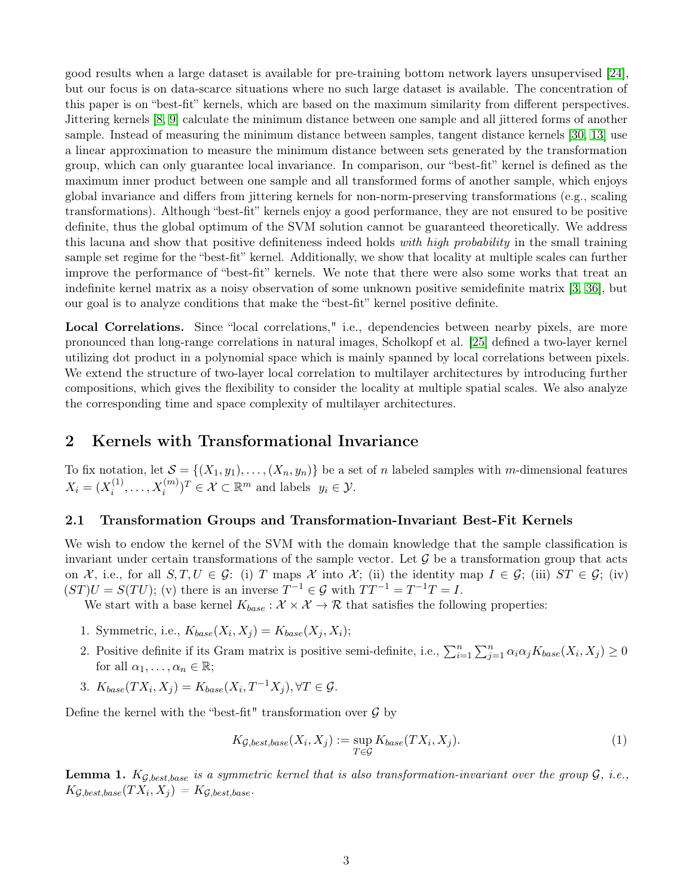good results when a large dataset is available for pre-training bottom network layers unsupervised [\[24\]](#page-11-10), but our focus is on data-scarce situations where no such large dataset is available. The concentration of this paper is on "best-fit" kernels, which are based on the maximum similarity from different perspectives. Jittering kernels [\[8,](#page-10-9) [9\]](#page-10-10) calculate the minimum distance between one sample and all jittered forms of another sample. Instead of measuring the minimum distance between samples, tangent distance kernels [\[30,](#page-12-3) [13\]](#page-11-11) use a linear approximation to measure the minimum distance between sets generated by the transformation group, which can only guarantee local invariance. In comparison, our "best-fit" kernel is defined as the maximum inner product between one sample and all transformed forms of another sample, which enjoys global invariance and differs from jittering kernels for non-norm-preserving transformations (e.g., scaling transformations). Although "best-fit" kernels enjoy a good performance, they are not ensured to be positive definite, thus the global optimum of the SVM solution cannot be guaranteed theoretically. We address this lacuna and show that positive definiteness indeed holds with high probability in the small training sample set regime for the "best-fit" kernel. Additionally, we show that locality at multiple scales can further improve the performance of "best-fit" kernels. We note that there were also some works that treat an indefinite kernel matrix as a noisy observation of some unknown positive semidefinite matrix [\[3,](#page-10-11) [36\]](#page-12-4), but our goal is to analyze conditions that make the "best-fit" kernel positive definite.

Local Correlations. Since "local correlations," i.e., dependencies between nearby pixels, are more pronounced than long-range correlations in natural images, Scholkopf et al. [\[25\]](#page-11-12) defined a two-layer kernel utilizing dot product in a polynomial space which is mainly spanned by local correlations between pixels. We extend the structure of two-layer local correlation to multilayer architectures by introducing further compositions, which gives the flexibility to consider the locality at multiple spatial scales. We also analyze the corresponding time and space complexity of multilayer architectures.

# 2 Kernels with Transformational Invariance

To fix notation, let  $\mathcal{S} = \{(X_1, y_1), \ldots, (X_n, y_n)\}\$ be a set of n labeled samples with m-dimensional features  $X_i = (X_i^{(1)}$  $(x_i^{(1)}, \ldots, X_i^{(m)})^T \in \mathcal{X} \subset \mathbb{R}^m$  and labels  $y_i \in \mathcal{Y}$ .

### 2.1 Transformation Groups and Transformation-Invariant Best-Fit Kernels

We wish to endow the kernel of the SVM with the domain knowledge that the sample classification is invariant under certain transformations of the sample vector. Let  $\mathcal G$  be a transformation group that acts on X, i.e., for all  $S, T, U \in \mathcal{G}$ : (i) T maps X into X; (ii) the identity map  $I \in \mathcal{G}$ ; (iii)  $ST \in \mathcal{G}$ ; (iv)  $(ST)U = S(TU);$  (v) there is an inverse  $T^{-1} \in \mathcal{G}$  with  $TT^{-1} = T^{-1}T = I$ .

We start with a base kernel  $K_{base} : \mathcal{X} \times \mathcal{X} \to \mathcal{R}$  that satisfies the following properties:

- 1. Symmetric, i.e.,  $K_{base}(X_i, X_j) = K_{base}(X_j, X_i);$
- 2. Positive definite if its Gram matrix is positive semi-definite, i.e.,  $\sum_{i=1}^{n}\sum_{j=1}^{n}\alpha_i\alpha_jK_{base}(X_i, X_j) \ge 0$ for all  $\alpha_1, \ldots, \alpha_n \in \mathbb{R}$ ;
- 3.  $K_{base}(TX_i, X_j) = K_{base}(X_i, T^{-1}X_j), \forall T \in \mathcal{G}.$

Define the kernel with the "best-fit" transformation over  $\mathcal G$  by

$$
K_{\mathcal{G},best,base}(X_i, X_j) := \sup_{T \in \mathcal{G}} K_{base}(TX_i, X_j).
$$
\n<sup>(1)</sup>

<span id="page-2-0"></span>**Lemma 1.**  $K_{\mathcal{G},best,base}$  is a symmetric kernel that is also transformation-invariant over the group  $\mathcal{G},$  i.e.,  $K_{\mathcal{G}, best, base}(TX_i, X_j) = K_{\mathcal{G}, best, base}.$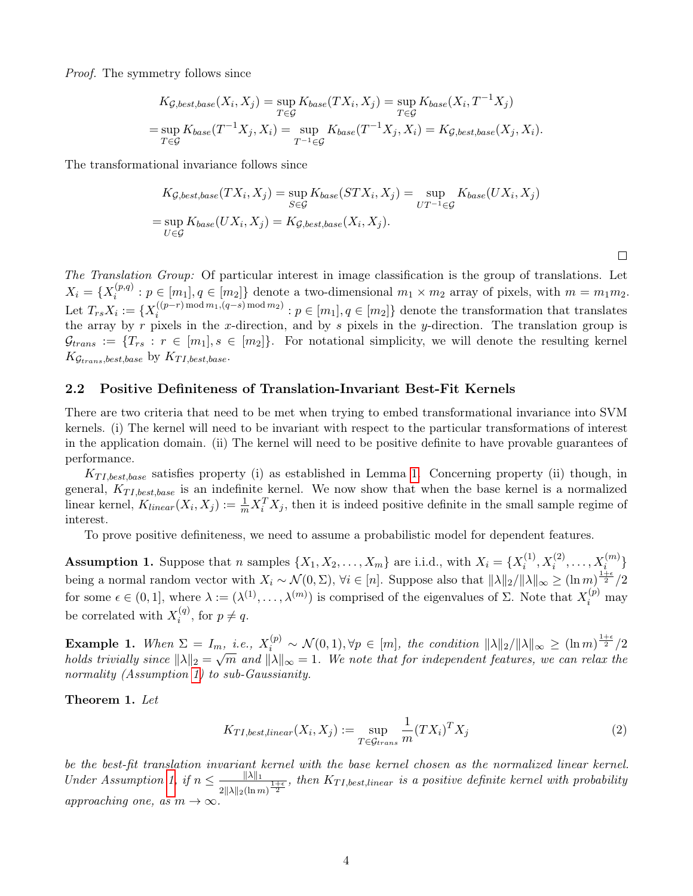Proof. The symmetry follows since

$$
K_{\mathcal{G}, best, base}(X_i, X_j) = \sup_{T \in \mathcal{G}} K_{base}(TX_i, X_j) = \sup_{T \in \mathcal{G}} K_{base}(X_i, T^{-1}X_j)
$$
  
= 
$$
\sup_{T \in \mathcal{G}} K_{base}(T^{-1}X_j, X_i) = \sup_{T^{-1} \in \mathcal{G}} K_{base}(T^{-1}X_j, X_i) = K_{\mathcal{G}, best, base}(X_j, X_i).
$$

The transformational invariance follows since

$$
K_{\mathcal{G}, best, base}(TX_i, X_j) = \sup_{S \in \mathcal{G}} K_{base}(STX_i, X_j) = \sup_{UT^{-1} \in \mathcal{G}} K_{base}(UX_i, X_j)
$$
  
= 
$$
\sup_{U \in \mathcal{G}} K_{base}(UX_i, X_j) = K_{\mathcal{G}, best, base}(X_i, X_j).
$$

 $\Box$ 

The Translation Group: Of particular interest in image classification is the group of translations. Let  $X_i = \{X_i^{(p,q)}\}$  $i^{(p,q)}: p \in [m_1], q \in [m_2]$  denote a two-dimensional  $m_1 \times m_2$  array of pixels, with  $m = m_1 m_2$ . Let  $T_{rs}X_i := \{X_i^{((p-r)\text{ mod }m_1, (q-s)\text{ mod }m_2)} : p \in [m_1], q \in [m_2]\}$  denote the transformation that translates Let  $I_{rs}A_i = \{A_i : i \in [n] \}$   $p \in [m_1], q \in [m_2]$  denote the transformation that translates<br>the array by r pixels in the x-direction, and by s pixels in the y-direction. The translation group is  $\mathcal{G}_{trans} := \{T_{rs} : r \in [m_1], s \in [m_2]\}.$  For notational simplicity, we will denote the resulting kernel  $K_{\mathcal{G}_{trans},best,base}$  by  $K_{TI,best,base}$ .

### 2.2 Positive Definiteness of Translation-Invariant Best-Fit Kernels

There are two criteria that need to be met when trying to embed transformational invariance into SVM kernels. (i) The kernel will need to be invariant with respect to the particular transformations of interest in the application domain. (ii) The kernel will need to be positive definite to have provable guarantees of performance.

 $K_{TI, best, base}$  satisfies property (i) as established in Lemma [1.](#page-2-0) Concerning property (ii) though, in general,  $K_{TI, best, base}$  is an indefinite kernel. We now show that when the base kernel is a normalized linear kernel,  $K_{linear}(X_i, X_j) := \frac{1}{m} X_i^T X_j$ , then it is indeed positive definite in the small sample regime of interest.

To prove positive definiteness, we need to assume a probabilistic model for dependent features.

<span id="page-3-0"></span>**Assumption 1.** Suppose that n samples  $\{X_1, X_2, \ldots, X_m\}$  are i.i.d., with  $X_i = \{X_i^{(1)}\}$  $X_i^{(1)}, X_i^{(2)}, \ldots, X_i^{(m)}\}$ being a normal random vector with  $X_i \sim \mathcal{N}(0, \Sigma)$ ,  $\forall i \in [n]$ . Suppose also that  $\|\lambda\|_2 / \|\lambda\|_{\infty} \ge (\ln m)^{\frac{1+\epsilon}{2}}/2$ for some  $\epsilon \in (0,1]$ , where  $\lambda := (\lambda^{(1)}, \ldots, \lambda^{(m)})$  is comprised of the eigenvalues of  $\Sigma$ . Note that  $X_i^{(p)}$  may be correlated with  $X_i^{(q)}$  $i^{(q)}$ , for  $p \neq q$ .

**Example 1.** When  $\Sigma = I_m$ , i.e.,  $X_i^{(p)} \sim \mathcal{N}(0, 1), \forall p \in [m]$ , the condition  $||\lambda||_2/||\lambda||_{\infty} \ge (\ln m)^{\frac{1+\epsilon}{2}}/2$ holds trivially since  $\|\lambda\|_2 = \sqrt{m}$  and  $\|\lambda\|_{\infty} = 1$ . We note that for independent features, we can relax the normality (Assumption [1\)](#page-3-0) to sub-Gaussianity.

<span id="page-3-1"></span>Theorem 1. Let

$$
K_{TI, best, linear}(X_i, X_j) := \sup_{T \in \mathcal{G}_{trans}} \frac{1}{m} (TX_i)^T X_j \tag{2}
$$

be the best-fit translation invariant kernel with the base kernel chosen as the normalized linear kernel. Under Assumption [1,](#page-3-0) if  $n \leq \frac{\|\lambda\|_1}{\| \lambda \|_1}$  $\frac{\|\lambda\|_1}{2\|\lambda\|_2(\ln m)^{\frac{1+\epsilon}{2}}}$ , then  $K_{TI, best, linear}$  is a positive definite kernel with probability approaching one, as  $m \to \infty$ .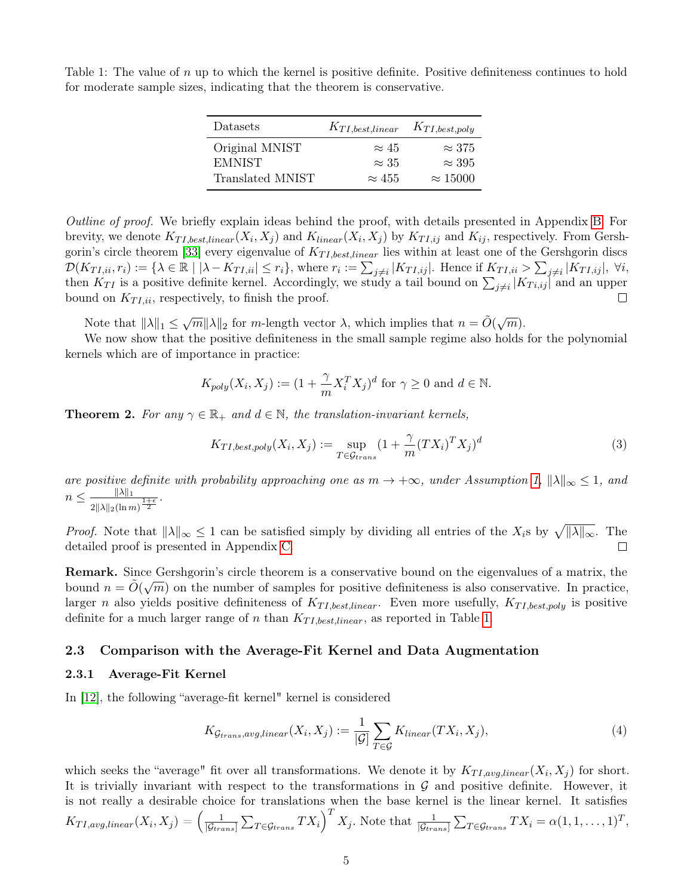| Datasets         | $K_{TI, best, linear}$ $K_{TI, best, poly}$ |                 |
|------------------|---------------------------------------------|-----------------|
| Original MNIST   | $\approx 45$                                | $\approx 375$   |
| <b>EMNIST</b>    | $\approx 35$                                | $\approx 395$   |
| Translated MNIST | $\approx 455$                               | $\approx 15000$ |

<span id="page-4-0"></span>Table 1: The value of  $n$  up to which the kernel is positive definite. Positive definiteness continues to hold for moderate sample sizes, indicating that the theorem is conservative.

Outline of proof. We briefly explain ideas behind the proof, with details presented in Appendix [B.](#page-13-0) For brevity, we denote  $K_{TI, best, linear}(X_i, X_j)$  and  $K_{linear}(X_i, X_j)$  by  $K_{TI, ij}$  and  $K_{ij}$ , respectively. From Gersh-gorin's circle theorem [\[33\]](#page-12-5) every eigenvalue of  $K_{TI, best, linear}$  lies within at least one of the Gershgorin discs  $\mathcal{D}(K_{TI,ii},r_i) := \{\lambda \in \mathbb{R} \mid |\lambda - K_{TI,ii}| \leq r_i\},\$  where  $r_i := \sum_{j \neq i} |K_{TI,ij}|$ . Hence if  $K_{TI,ii} > \sum_{j \neq i} |K_{TI,ij}|$ ,  $\forall i$ , then  $K_{TI}$  is a positive definite kernel. Accordingly, we study a tail bound on  $\sum_{j\neq i} |K_{Ti,ij}|$  and an upper bound on  $K_{TI,ii}$ , respectively, to finish the proof.  $\Box$ 

Note that  $\|\lambda\|_1 \leq \sqrt{m}\|\lambda\|_2$  for m-length vector  $\lambda$ , which implies that  $n = \tilde{O}(\sqrt{m})$ .

We now show that the positive definiteness in the small sample regime also holds for the polynomial kernels which are of importance in practice:

$$
K_{poly}(X_i, X_j) := (1 + \frac{\gamma}{m} X_i^T X_j)^d
$$
 for  $\gamma \ge 0$  and  $d \in \mathbb{N}$ .

<span id="page-4-2"></span>**Theorem 2.** For any  $\gamma \in \mathbb{R}_+$  and  $d \in \mathbb{N}$ , the translation-invariant kernels,

$$
K_{TI, best, poly}(X_i, X_j) := \sup_{T \in \mathcal{G}_{trans}} (1 + \frac{\gamma}{m} (TX_i)^T X_j)^d
$$
\n(3)

are positive definite with probability approaching one as  $m \to +\infty$ , under Assumption [1,](#page-3-0)  $\|\lambda\|_{\infty} \leq 1$ , and  $n \leq \frac{\|\lambda\|_1}{\| \lambda \|_1}$  $\frac{\|\Delta\|_1}{2\|\lambda\|_2(\ln m)^{\frac{1+\epsilon}{2}}}.$ 

*Proof.* Note that  $||\lambda||_{\infty} \leq 1$  can be satisfied simply by dividing all entries of the  $X_i$ s by  $\sqrt{||\lambda||_{\infty}}$ . The detailed proof is presented in Appendix [C.](#page-15-0)  $\Box$ 

**Remark.** Since Gershgorin's circle theorem is a conservative bound on the eigenvalues of a matrix, the bound  $n = \tilde{O}(\sqrt{m})$  on the number of samples for positive definiteness is also conservative. In practice, larger n also yields positive definiteness of  $K_{TI, best, linear}$ . Even more usefully,  $K_{TI, best, poly}$  is positive definite for a much larger range of n than  $K_{TI, best, linear}$ , as reported in Table [1.](#page-4-0)

### 2.3 Comparison with the Average-Fit Kernel and Data Augmentation

### 2.3.1 Average-Fit Kernel

In [\[12\]](#page-10-7), the following "average-fit kernel" kernel is considered

<span id="page-4-1"></span>
$$
K_{\mathcal{G}_{trans},avg,linear}(X_i, X_j) := \frac{1}{|\mathcal{G}|} \sum_{T \in \mathcal{G}} K_{linear}(TX_i, X_j), \tag{4}
$$

which seeks the "average" fit over all transformations. We denote it by  $K_{TI,avg,linear}(X_i, X_j)$  for short. It is trivially invariant with respect to the transformations in  $\mathcal G$  and positive definite. However, it is not really a desirable choice for translations when the base kernel is the linear kernel. It satisfies  $K_{TI,avg,linear}(X_i, X_j) = \left(\frac{1}{|G_{tree}|}\right)$  $\frac{1}{|\mathcal{G}_{trans}|}\sum_{T\in\mathcal{G}_{trans}}TX_i\bigg)^TX_j$ . Note that  $\frac{1}{|\mathcal{G}_{trans}|}\sum_{T\in\mathcal{G}_{trans}}TX_i = \alpha(1,1,\ldots,1)^T$ ,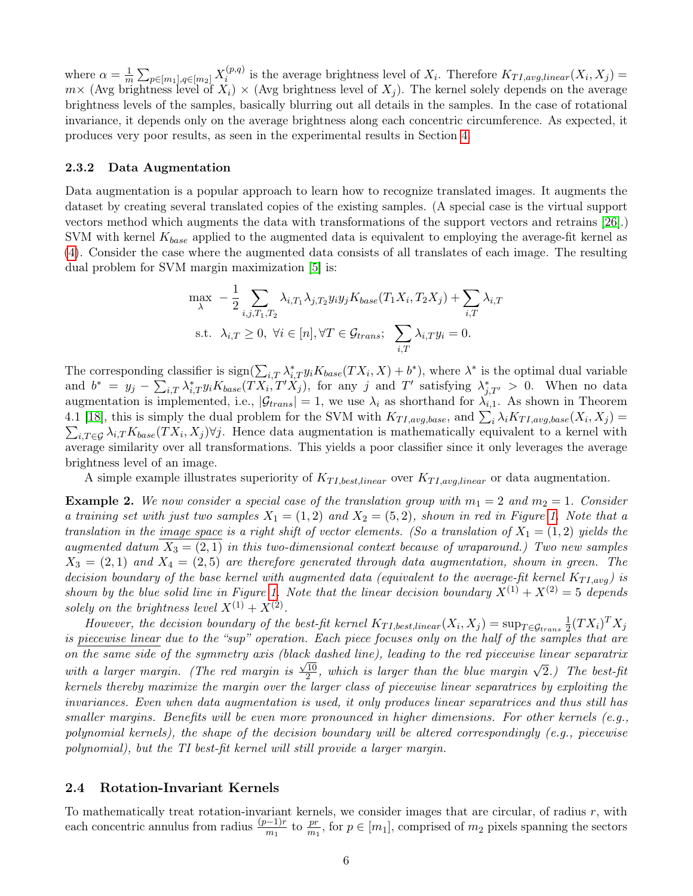where  $\alpha = \frac{1}{n}$  $\frac{1}{m}\sum_{p \in [m_1], q \in [m_2]} X_i^{(p,q)}$  $i^{(p,q)}$  is the average brightness level of  $X_i$ . Therefore  $K_{TI,avg,linear}(X_i, X_j)$  $m\times$  (Avg brightness level of  $X_i$ )  $\times$  (Avg brightness level of  $X_j$ ). The kernel solely depends on the average brightness levels of the samples, basically blurring out all details in the samples. In the case of rotational invariance, it depends only on the average brightness along each concentric circumference. As expected, it produces very poor results, as seen in the experimental results in Section [4.](#page-7-0)

#### 2.3.2 Data Augmentation

Data augmentation is a popular approach to learn how to recognize translated images. It augments the dataset by creating several translated copies of the existing samples. (A special case is the virtual support vectors method which augments the data with transformations of the support vectors and retrains [\[26\]](#page-11-4).) SVM with kernel  $K_{base}$  applied to the augmented data is equivalent to employing the average-fit kernel as [\(4\)](#page-4-1). Consider the case where the augmented data consists of all translates of each image. The resulting dual problem for SVM margin maximization [\[5\]](#page-10-5) is:

$$
\max_{\lambda} -\frac{1}{2} \sum_{i,j,T_1,T_2} \lambda_{i,T_1} \lambda_{j,T_2} y_i y_j K_{base}(T_1 X_i, T_2 X_j) + \sum_{i,T} \lambda_{i,T}
$$
  
s.t.  $\lambda_{i,T} \ge 0$ ,  $\forall i \in [n], \forall T \in \mathcal{G}_{trans}; \sum_{i,T} \lambda_{i,T} y_i = 0.$ 

The corresponding classifier is  $sign(\sum_{i,T}\lambda_{i,T}^*y_iK_{base}(TX_i,X)+b^*)$ , where  $\lambda^*$  is the optimal dual variable and  $b^* = y_j - \sum_{i,T} \lambda_{i,T}^* y_i K_{base}(TX_i, T'X_j)$ , for any j and T' satisfying  $\lambda_{j,T'}^* > 0$ . When no data augmentation is implemented, i.e.,  $|\mathcal{G}_{trans}| = 1$ , we use  $\lambda_i$  as shorthand for  $\lambda_{i,1}$ . As shown in Theorem 4.1 [\[18\]](#page-11-13), this is simply the dual problem for the SVM with  $K_{TI,avg,base}$ , and  $\sum_i \lambda_i K_{TI,avg,base}(X_i, X_j) =$  $\sum_{i,T\in\mathcal{G}}\lambda_{i,T}K_{base}(TX_i,X_j)\forall j$ . Hence data augmentation is mathematically equivalent to a kernel with average similarity over all transformations. This yields a poor classifier since it only leverages the average brightness level of an image.

A simple example illustrates superiority of  $K_{TI, best, linear}$  over  $K_{TI, avg, linear}$  or data augmentation.

**Example 2.** We now consider a special case of the translation group with  $m_1 = 2$  and  $m_2 = 1$ . Consider a training set with just two samples  $X_1 = (1, 2)$  and  $X_2 = (5, 2)$ , shown in red in Figure [1.](#page-6-0) Note that a translation in the image space is a right shift of vector elements. (So a translation of  $X_1 = (1, 2)$  yields the augmented datum  $X_3 = (2, 1)$  in this two-dimensional context because of wraparound.) Two new samples  $X_3 = (2, 1)$  and  $X_4 = (2, 5)$  are therefore generated through data augmentation, shown in green. The decision boundary of the base kernel with augmented data (equivalent to the average-fit kernel  $K_{TI,avg}$ ) is shown by the blue solid line in Figure [1.](#page-6-0) Note that the linear decision boundary  $X^{(1)} + X^{(2)} = 5$  depends solely on the brightness level  $X^{(1)} + X^{(2)}$ .

However, the decision boundary of the best-fit kernel  $K_{TI, best, linear}(X_i, X_j) = \sup_{T \in \mathcal{G}_{trans}} \frac{1}{2}$  $\frac{1}{2}(TX_i)^TX_j$ is piecewise linear due to the "sup" operation. Each piece focuses only on the half of the samples that are on the same side of the symmetry axis (black dashed line), leading to the red piecewise linear separatrix with a larger margin. (The red margin is  $\frac{\sqrt{10}}{2}$  $\frac{10}{2}$ , which is larger than the blue margin  $\sqrt{2}$ .) The best-fit kernels thereby maximize the margin over the larger class of piecewise linear separatrices by exploiting the invariances. Even when data augmentation is used, it only produces linear separatrices and thus still has smaller margins. Benefits will be even more pronounced in higher dimensions. For other kernels (e.g., polynomial kernels), the shape of the decision boundary will be altered correspondingly (e.g., piecewise polynomial), but the TI best-fit kernel will still provide a larger margin.

#### 2.4 Rotation-Invariant Kernels

To mathematically treat rotation-invariant kernels, we consider images that are circular, of radius  $r$ , with each concentric annulus from radius  $\frac{(p-1)r}{m_1}$  to  $\frac{pr}{m_1}$ , for  $p \in [m_1]$ , comprised of  $m_2$  pixels spanning the sectors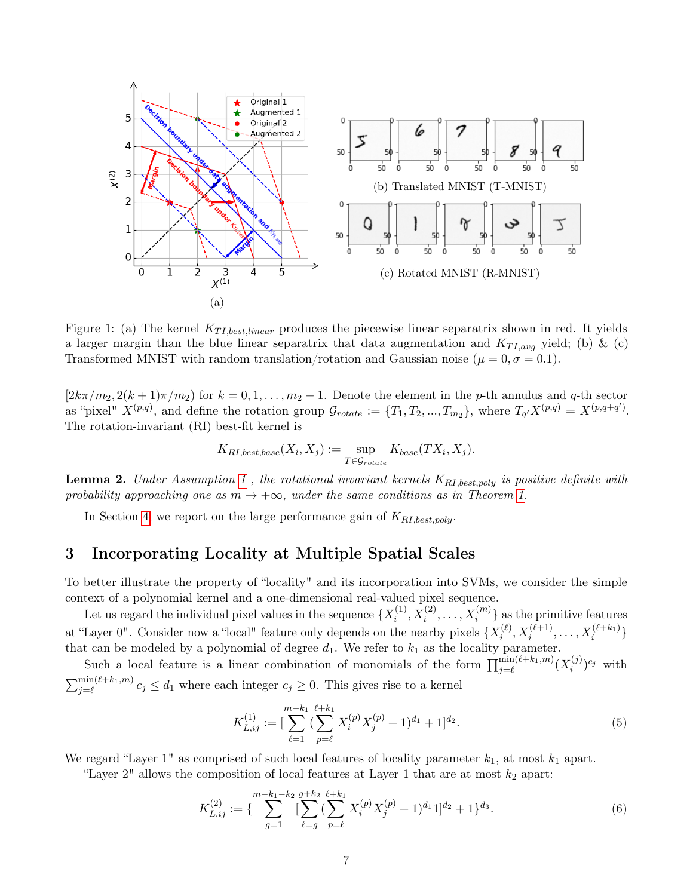<span id="page-6-0"></span>

Figure 1: (a) The kernel  $K_{TI, best, linear}$  produces the piecewise linear separatrix shown in red. It yields a larger margin than the blue linear separatrix that data augmentation and  $K_{TI,avg}$  yield; (b) & (c) Transformed MNIST with random translation/rotation and Gaussian noise ( $\mu = 0, \sigma = 0.1$ ).

 $[2k\pi/m_2, 2(k+1)\pi/m_2]$  for  $k = 0, 1, \ldots, m_2 - 1$ . Denote the element in the p-th annulus and q-th sector as "pixel"  $X^{(p,q)}$ , and define the rotation group  $\mathcal{G}_{rotate} := \{T_1, T_2, ..., T_{m_2}\}$ , where  $T_{q'}X^{(p,q)} = X^{(p,q+q')}$ . The rotation-invariant (RI) best-fit kernel is

$$
K_{RI, best, base}(X_i, X_j) := \sup_{T \in \mathcal{G}_{rotate}} K_{base}(TX_i, X_j).
$$

**Lemma 2.** Under Assumption [1](#page-3-0), the rotational invariant kernels  $K_{RI, best, poly}$  is positive definite with probability approaching one as  $m \to +\infty$ , under the same conditions as in Theorem [1.](#page-3-1)

In Section [4,](#page-7-0) we report on the large performance gain of  $K_{\text{RL}, best, poly}$ .

### 3 Incorporating Locality at Multiple Spatial Scales

To better illustrate the property of "locality" and its incorporation into SVMs, we consider the simple context of a polynomial kernel and a one-dimensional real-valued pixel sequence.

Let us regard the individual pixel values in the sequence  $\{X_i^{(1)}\}$  $\{X_i^{(1)}, X_i^{(2)}, \ldots, X_i^{(m)}\}$  as the primitive features at "Layer 0". Consider now a "local" feature only depends on the nearby pixels  $\{X_i^{(\ell)}\}$  $\{X_i^{(\ell+1)}, \ldots, X_i^{(\ell+k_1)}\}$ that can be modeled by a polynomial of degree  $d_1$ . We refer to  $k_1$  as the locality parameter.

Such a local feature is a linear combination of monomials of the form  $\prod_{j=\ell}^{\min(\ell+k_1,m)} (X_i^{(j)})$  $\binom{(j)}{i}^{c_j}$  with  $\sum_{j=\ell}^{\min(\ell+k_1,m)} c_j \leq d_1$  where each integer  $c_j \geq 0$ . This gives rise to a kernel

<span id="page-6-1"></span>
$$
K_{L,ij}^{(1)} := \left[\sum_{\ell=1}^{m-k_1} \left(\sum_{p=\ell}^{\ell+k_1} X_i^{(p)} X_j^{(p)} + 1\right)^{d_1} + 1\right]^{d_2}.
$$
\n<sup>(5)</sup>

We regard "Layer 1" as comprised of such local features of locality parameter  $k_1$ , at most  $k_1$  apart.

"Layer  $2$ " allows the composition of local features at Layer 1 that are at most  $k_2$  apart:

$$
K_{L,ij}^{(2)} := \left\{ \sum_{g=1}^{m-k_1-k_2} \left[ \sum_{\ell=g}^{g+k_2} \left( \sum_{p=\ell}^{k+1} X_i^{(p)} X_j^{(p)} + 1 \right)^{d_1} 1 \right]^{d_2} + 1 \right\}^{d_3}.
$$
\n
$$
(6)
$$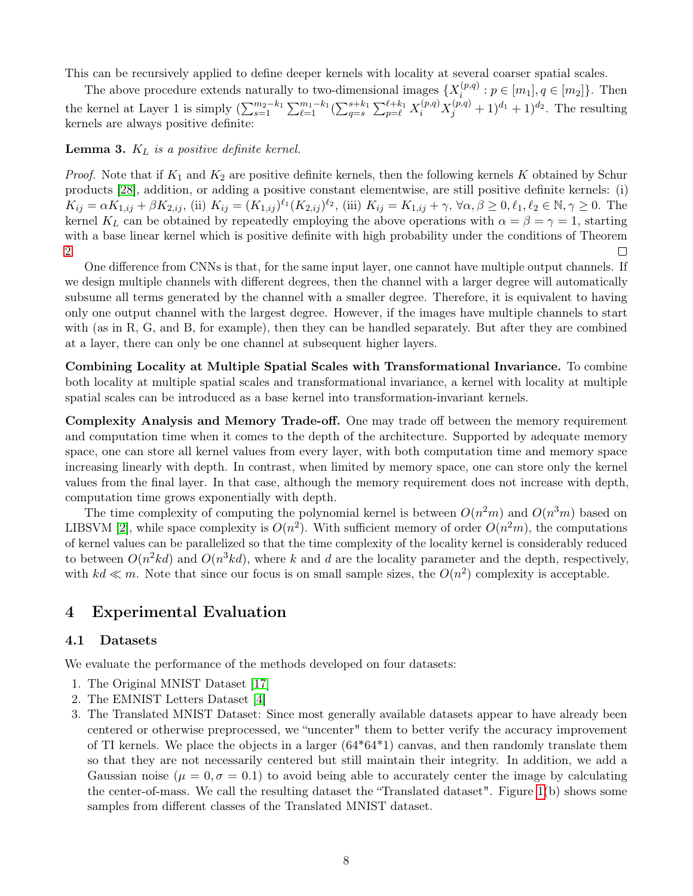This can be recursively applied to define deeper kernels with locality at several coarser spatial scales.

The above procedure extends naturally to two-dimensional images  $\{X_i^{(p,q)}: p \in [m_1], q \in [m_2]\}$ . Then i the kernel at Layer 1 is simply  $(\sum_{s=1}^{m_2-k_1} \sum_{\ell=1}^{m_1-k_1} (\sum_{q=s}^{s+k_1} \sum_{p=\ell}^{\ell+k_1} X_i^{(p,q)} X_j^{(p,q)} + 1)^{d_1} + 1)^{d_2}$ . The resulting kernels are always positive definite:

<span id="page-7-1"></span>**Lemma 3.**  $K_L$  is a positive definite kernel.

*Proof.* Note that if  $K_1$  and  $K_2$  are positive definite kernels, then the following kernels K obtained by Schur products [\[28\]](#page-11-14), addition, or adding a positive constant elementwise, are still positive definite kernels: (i)  $K_{ij} = \alpha K_{1,ij} + \beta K_{2,ij}$ , (ii)  $K_{ij} = (K_{1,ij})^{\ell_1} (K_{2,ij})^{\ell_2}$ , (iii)  $K_{ij} = K_{1,ij} + \gamma$ ,  $\forall \alpha, \beta \geq 0, \ell_1, \ell_2 \in \mathbb{N}, \gamma \geq 0$ . The kernel K<sub>L</sub> can be obtained by repeatedly employing the above operations with  $\alpha = \beta = \gamma = 1$ , starting with a base linear kernel which is positive definite with high probability under the conditions of Theorem [2.](#page-4-2)  $\Box$ 

One difference from CNNs is that, for the same input layer, one cannot have multiple output channels. If we design multiple channels with different degrees, then the channel with a larger degree will automatically subsume all terms generated by the channel with a smaller degree. Therefore, it is equivalent to having only one output channel with the largest degree. However, if the images have multiple channels to start with (as in R, G, and B, for example), then they can be handled separately. But after they are combined at a layer, there can only be one channel at subsequent higher layers.

Combining Locality at Multiple Spatial Scales with Transformational Invariance. To combine both locality at multiple spatial scales and transformational invariance, a kernel with locality at multiple spatial scales can be introduced as a base kernel into transformation-invariant kernels.

Complexity Analysis and Memory Trade-off. One may trade off between the memory requirement and computation time when it comes to the depth of the architecture. Supported by adequate memory space, one can store all kernel values from every layer, with both computation time and memory space increasing linearly with depth. In contrast, when limited by memory space, one can store only the kernel values from the final layer. In that case, although the memory requirement does not increase with depth, computation time grows exponentially with depth.

The time complexity of computing the polynomial kernel is between  $O(n^2m)$  and  $O(n^3m)$  based on LIBSVM [\[2\]](#page-10-4), while space complexity is  $O(n^2)$ . With sufficient memory of order  $O(n^2m)$ , the computations of kernel values can be parallelized so that the time complexity of the locality kernel is considerably reduced to between  $O(n^2kd)$  and  $O(n^3kd)$ , where k and d are the locality parameter and the depth, respectively, with  $kd \ll m$ . Note that since our focus is on small sample sizes, the  $O(n^2)$  complexity is acceptable.

# <span id="page-7-0"></span>4 Experimental Evaluation

### 4.1 Datasets

We evaluate the performance of the methods developed on four datasets:

- 1. The Original MNIST Dataset [\[17\]](#page-11-1)
- 2. The EMNIST Letters Dataset [\[4\]](#page-10-3)
- 3. The Translated MNIST Dataset: Since most generally available datasets appear to have already been centered or otherwise preprocessed, we "uncenter" them to better verify the accuracy improvement of TI kernels. We place the objects in a larger  $(64*64*1)$  canvas, and then randomly translate them so that they are not necessarily centered but still maintain their integrity. In addition, we add a Gaussian noise ( $\mu = 0, \sigma = 0.1$ ) to avoid being able to accurately center the image by calculating the center-of-mass. We call the resulting dataset the "Translated dataset". Figure [1\(](#page-6-0)b) shows some samples from different classes of the Translated MNIST dataset.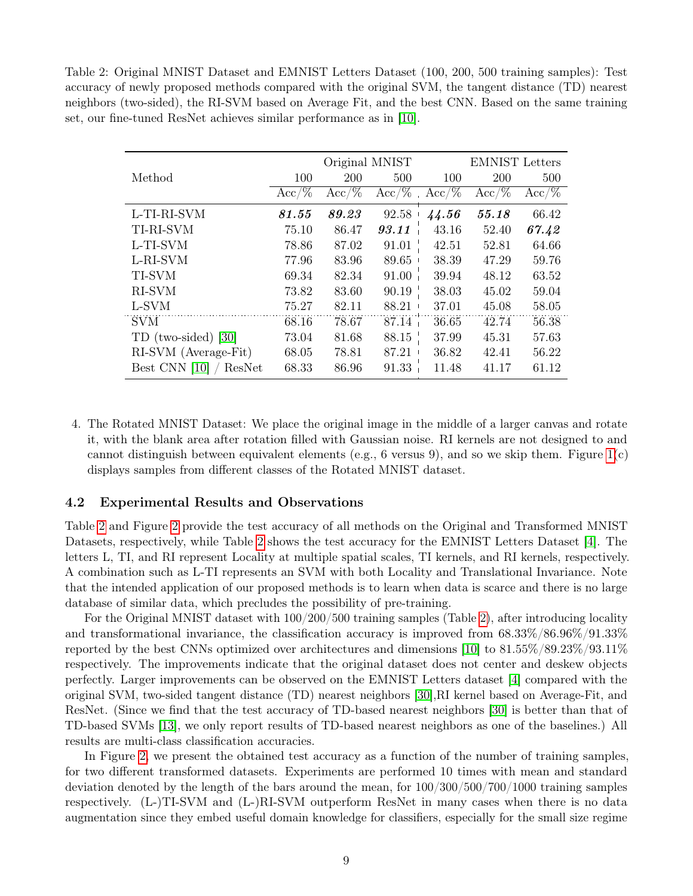<span id="page-8-0"></span>Table 2: Original MNIST Dataset and EMNIST Letters Dataset (100, 200, 500 training samples): Test accuracy of newly proposed methods compared with the original SVM, the tangent distance (TD) nearest neighbors (two-sided), the RI-SVM based on Average Fit, and the best CNN. Based on the same training set, our fine-tuned ResNet achieves similar performance as in [\[10\]](#page-10-2).

|                         | Original MNIST |          |          | <b>EMNIST</b> Letters |          |          |
|-------------------------|----------------|----------|----------|-----------------------|----------|----------|
| Method                  | 100            | 200      | 500      | 100                   | 200      | 500      |
|                         | $Acc/\%$       | $Acc/\%$ | $Acc/\%$ | $Acc/\%$              | $Acc/\%$ | $Acc/\%$ |
| L-TI-RI-SVM             | 81.55          | 89.23    | 92.58    | 44.56                 | 55.18    | 66.42    |
| TI-RI-SVM               | 75.10          | 86.47    | 93.11    | 43.16                 | 52.40    | 67.42    |
| L-TI-SVM                | 78.86          | 87.02    | 91.01    | 42.51                 | 52.81    | 64.66    |
| L-RI-SVM                | 77.96          | 83.96    | 89.65    | 38.39                 | 47.29    | 59.76    |
| TI-SVM                  | 69.34          | 82.34    | 91.00    | 39.94                 | 48.12    | 63.52    |
| RI-SVM                  | 73.82          | 83.60    | 90.19    | 38.03                 | 45.02    | 59.04    |
| L-SVM                   | 75.27          | 82.11    | 88.21    | 37.01                 | 45.08    | 58.05    |
| <b>SVM</b>              | 68.16          | 78.67    | 87.14    | 36.65                 | 42.74    | 56.38    |
| TD (two-sided) [30]     | 73.04          | 81.68    | 88.15    | 37.99                 | 45.31    | 57.63    |
| RI-SVM (Average-Fit)    | 68.05          | 78.81    | 87.21    | 36.82                 | 42.41    | 56.22    |
| Best CNN [10]<br>ResNet | 68.33          | 86.96    | 91.33    | 11.48                 | 41.17    | 61.12    |

4. The Rotated MNIST Dataset: We place the original image in the middle of a larger canvas and rotate it, with the blank area after rotation filled with Gaussian noise. RI kernels are not designed to and cannot distinguish between equivalent elements (e.g., 6 versus 9), and so we skip them. Figure  $1(c)$ displays samples from different classes of the Rotated MNIST dataset.

### 4.2 Experimental Results and Observations

Table [2](#page-8-0) and Figure [2](#page-9-0) provide the test accuracy of all methods on the Original and Transformed MNIST Datasets, respectively, while Table [2](#page-8-0) shows the test accuracy for the EMNIST Letters Dataset [\[4\]](#page-10-3). The letters L, TI, and RI represent Locality at multiple spatial scales, TI kernels, and RI kernels, respectively. A combination such as L-TI represents an SVM with both Locality and Translational Invariance. Note that the intended application of our proposed methods is to learn when data is scarce and there is no large database of similar data, which precludes the possibility of pre-training.

For the Original MNIST dataset with 100/200/500 training samples (Table [2\)](#page-8-0), after introducing locality and transformational invariance, the classification accuracy is improved from 68.33%/86.96%/91.33% reported by the best CNNs optimized over architectures and dimensions [\[10\]](#page-10-2) to 81.55%/89.23%/93.11% respectively. The improvements indicate that the original dataset does not center and deskew objects perfectly. Larger improvements can be observed on the EMNIST Letters dataset [\[4\]](#page-10-3) compared with the original SVM, two-sided tangent distance (TD) nearest neighbors [\[30\]](#page-12-3),RI kernel based on Average-Fit, and ResNet. (Since we find that the test accuracy of TD-based nearest neighbors [\[30\]](#page-12-3) is better than that of TD-based SVMs [\[13\]](#page-11-11), we only report results of TD-based nearest neighbors as one of the baselines.) All results are multi-class classification accuracies.

In Figure [2,](#page-9-0) we present the obtained test accuracy as a function of the number of training samples, for two different transformed datasets. Experiments are performed 10 times with mean and standard deviation denoted by the length of the bars around the mean, for 100/300/500/700/1000 training samples respectively. (L-)TI-SVM and (L-)RI-SVM outperform ResNet in many cases when there is no data augmentation since they embed useful domain knowledge for classifiers, especially for the small size regime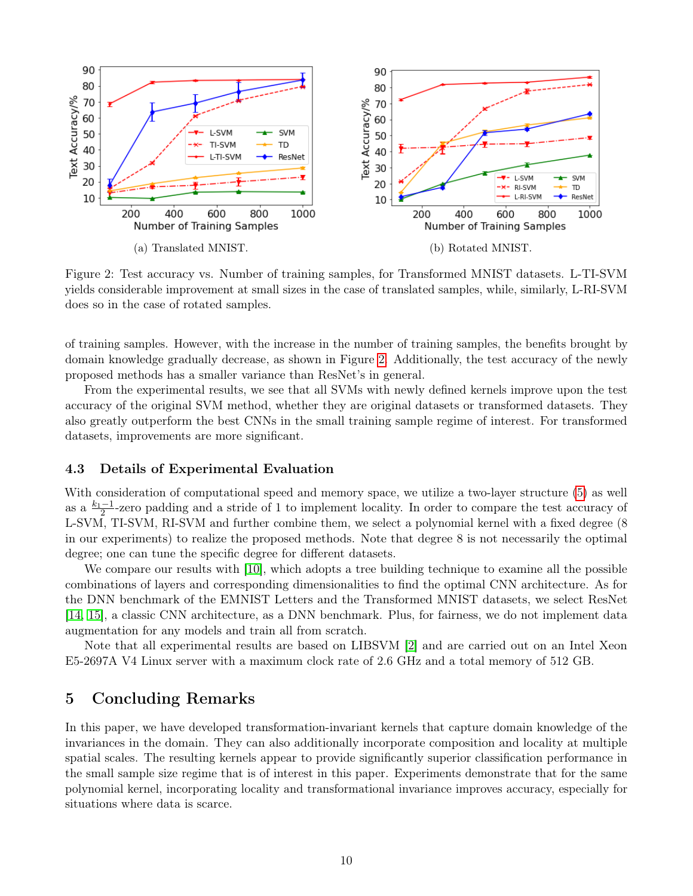<span id="page-9-0"></span>

Figure 2: Test accuracy vs. Number of training samples, for Transformed MNIST datasets. L-TI-SVM yields considerable improvement at small sizes in the case of translated samples, while, similarly, L-RI-SVM does so in the case of rotated samples.

of training samples. However, with the increase in the number of training samples, the benefits brought by domain knowledge gradually decrease, as shown in Figure [2.](#page-9-0) Additionally, the test accuracy of the newly proposed methods has a smaller variance than ResNet's in general.

From the experimental results, we see that all SVMs with newly defined kernels improve upon the test accuracy of the original SVM method, whether they are original datasets or transformed datasets. They also greatly outperform the best CNNs in the small training sample regime of interest. For transformed datasets, improvements are more significant.

### 4.3 Details of Experimental Evaluation

With consideration of computational speed and memory space, we utilize a two-layer structure [\(5\)](#page-6-1) as well as a  $\frac{k_1-1}{2}$ -zero padding and a stride of 1 to implement locality. In order to compare the test accuracy of L-SVM, TI-SVM, RI-SVM and further combine them, we select a polynomial kernel with a fixed degree (8 in our experiments) to realize the proposed methods. Note that degree 8 is not necessarily the optimal degree; one can tune the specific degree for different datasets.

We compare our results with [\[10\]](#page-10-2), which adopts a tree building technique to examine all the possible combinations of layers and corresponding dimensionalities to find the optimal CNN architecture. As for the DNN benchmark of the EMNIST Letters and the Transformed MNIST datasets, we select ResNet [\[14,](#page-11-15) [15\]](#page-11-16), a classic CNN architecture, as a DNN benchmark. Plus, for fairness, we do not implement data augmentation for any models and train all from scratch.

Note that all experimental results are based on LIBSVM [\[2\]](#page-10-4) and are carried out on an Intel Xeon E5-2697A V4 Linux server with a maximum clock rate of 2.6 GHz and a total memory of 512 GB.

## 5 Concluding Remarks

In this paper, we have developed transformation-invariant kernels that capture domain knowledge of the invariances in the domain. They can also additionally incorporate composition and locality at multiple spatial scales. The resulting kernels appear to provide significantly superior classification performance in the small sample size regime that is of interest in this paper. Experiments demonstrate that for the same polynomial kernel, incorporating locality and transformational invariance improves accuracy, especially for situations where data is scarce.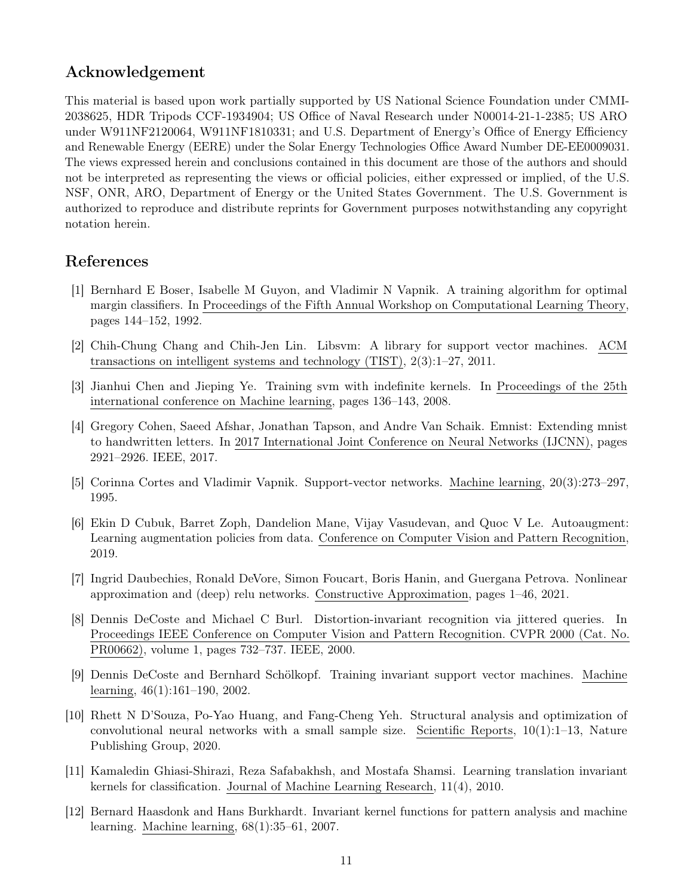# Acknowledgement

This material is based upon work partially supported by US National Science Foundation under CMMI-2038625, HDR Tripods CCF-1934904; US Office of Naval Research under N00014-21-1-2385; US ARO under W911NF2120064, W911NF1810331; and U.S. Department of Energy's Office of Energy Efficiency and Renewable Energy (EERE) under the Solar Energy Technologies Office Award Number DE-EE0009031. The views expressed herein and conclusions contained in this document are those of the authors and should not be interpreted as representing the views or official policies, either expressed or implied, of the U.S. NSF, ONR, ARO, Department of Energy or the United States Government. The U.S. Government is authorized to reproduce and distribute reprints for Government purposes notwithstanding any copyright notation herein.

# References

- <span id="page-10-6"></span>[1] Bernhard E Boser, Isabelle M Guyon, and Vladimir N Vapnik. A training algorithm for optimal margin classifiers. In Proceedings of the Fifth Annual Workshop on Computational Learning Theory, pages 144–152, 1992.
- <span id="page-10-4"></span>[2] Chih-Chung Chang and Chih-Jen Lin. Libsvm: A library for support vector machines. ACM transactions on intelligent systems and technology (TIST), 2(3):1–27, 2011.
- <span id="page-10-11"></span>[3] Jianhui Chen and Jieping Ye. Training svm with indefinite kernels. In Proceedings of the 25th international conference on Machine learning, pages 136–143, 2008.
- <span id="page-10-3"></span>[4] Gregory Cohen, Saeed Afshar, Jonathan Tapson, and Andre Van Schaik. Emnist: Extending mnist to handwritten letters. In 2017 International Joint Conference on Neural Networks (IJCNN), pages 2921–2926. IEEE, 2017.
- <span id="page-10-5"></span>[5] Corinna Cortes and Vladimir Vapnik. Support-vector networks. Machine learning, 20(3):273–297, 1995.
- <span id="page-10-0"></span>[6] Ekin D Cubuk, Barret Zoph, Dandelion Mane, Vijay Vasudevan, and Quoc V Le. Autoaugment: Learning augmentation policies from data. Conference on Computer Vision and Pattern Recognition, 2019.
- <span id="page-10-1"></span>[7] Ingrid Daubechies, Ronald DeVore, Simon Foucart, Boris Hanin, and Guergana Petrova. Nonlinear approximation and (deep) relu networks. Constructive Approximation, pages 1–46, 2021.
- <span id="page-10-9"></span>[8] Dennis DeCoste and Michael C Burl. Distortion-invariant recognition via jittered queries. In Proceedings IEEE Conference on Computer Vision and Pattern Recognition. CVPR 2000 (Cat. No. PR00662), volume 1, pages 732–737. IEEE, 2000.
- <span id="page-10-10"></span>[9] Dennis DeCoste and Bernhard Schölkopf. Training invariant support vector machines. Machine learning, 46(1):161–190, 2002.
- <span id="page-10-2"></span>[10] Rhett N D'Souza, Po-Yao Huang, and Fang-Cheng Yeh. Structural analysis and optimization of convolutional neural networks with a small sample size. Scientific Reports,  $10(1):1-13$ , Nature Publishing Group, 2020.
- <span id="page-10-8"></span>[11] Kamaledin Ghiasi-Shirazi, Reza Safabakhsh, and Mostafa Shamsi. Learning translation invariant kernels for classification. Journal of Machine Learning Research, 11(4), 2010.
- <span id="page-10-7"></span>[12] Bernard Haasdonk and Hans Burkhardt. Invariant kernel functions for pattern analysis and machine learning. Machine learning, 68(1):35–61, 2007.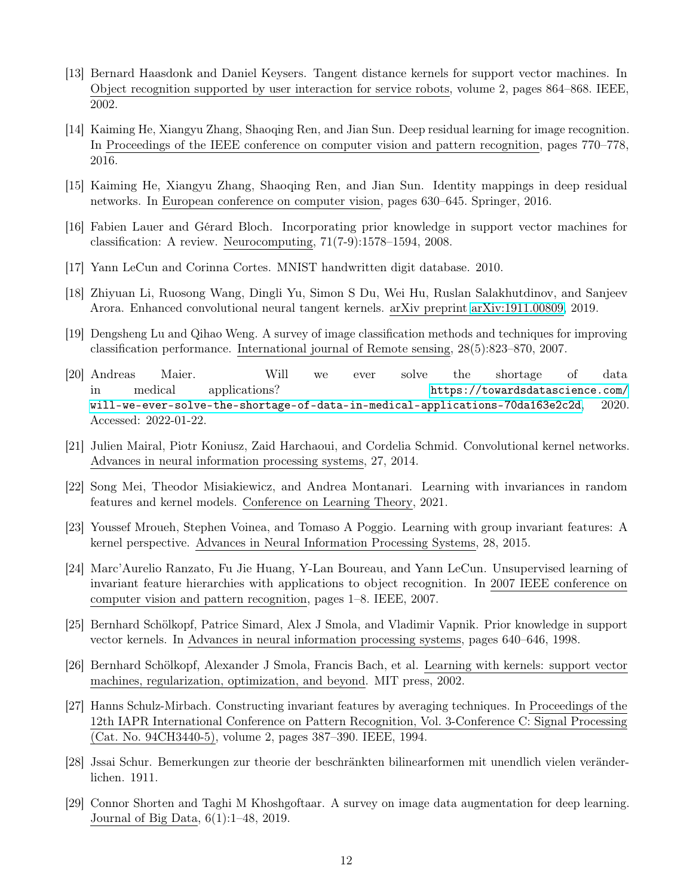- <span id="page-11-11"></span>[13] Bernard Haasdonk and Daniel Keysers. Tangent distance kernels for support vector machines. In Object recognition supported by user interaction for service robots, volume 2, pages 864–868. IEEE, 2002.
- <span id="page-11-15"></span>[14] Kaiming He, Xiangyu Zhang, Shaoqing Ren, and Jian Sun. Deep residual learning for image recognition. In Proceedings of the IEEE conference on computer vision and pattern recognition, pages 770–778, 2016.
- <span id="page-11-16"></span>[15] Kaiming He, Xiangyu Zhang, Shaoqing Ren, and Jian Sun. Identity mappings in deep residual networks. In European conference on computer vision, pages 630–645. Springer, 2016.
- <span id="page-11-5"></span>[16] Fabien Lauer and Gérard Bloch. Incorporating prior knowledge in support vector machines for classification: A review. Neurocomputing, 71(7-9):1578–1594, 2008.
- <span id="page-11-1"></span>[17] Yann LeCun and Corinna Cortes. MNIST handwritten digit database. 2010.
- <span id="page-11-13"></span>[18] Zhiyuan Li, Ruosong Wang, Dingli Yu, Simon S Du, Wei Hu, Ruslan Salakhutdinov, and Sanjeev Arora. Enhanced convolutional neural tangent kernels. arXiv preprint [arXiv:1911.00809,](http://arxiv.org/abs/1911.00809) 2019.
- <span id="page-11-2"></span>[19] Dengsheng Lu and Qihao Weng. A survey of image classification methods and techniques for improving classification performance. International journal of Remote sensing, 28(5):823–870, 2007.
- <span id="page-11-3"></span>[20] Andreas Maier. Will we ever solve the shortage of data in medical applications? [https://towardsdatascience.com/](https://towardsdatascience.com/will-we-ever-solve-the-shortage-of-data-in-medical-applications-70da163e2c2d) [will-we-ever-solve-the-shortage-of-data-in-medical-applications-70da163e2c2d](https://towardsdatascience.com/will-we-ever-solve-the-shortage-of-data-in-medical-applications-70da163e2c2d), 2020. Accessed: 2022-01-22.
- <span id="page-11-8"></span>[21] Julien Mairal, Piotr Koniusz, Zaid Harchaoui, and Cordelia Schmid. Convolutional kernel networks. Advances in neural information processing systems, 27, 2014.
- <span id="page-11-9"></span>[22] Song Mei, Theodor Misiakiewicz, and Andrea Montanari. Learning with invariances in random features and kernel models. Conference on Learning Theory, 2021.
- <span id="page-11-7"></span>[23] Youssef Mroueh, Stephen Voinea, and Tomaso A Poggio. Learning with group invariant features: A kernel perspective. Advances in Neural Information Processing Systems, 28, 2015.
- <span id="page-11-10"></span>[24] Marc'Aurelio Ranzato, Fu Jie Huang, Y-Lan Boureau, and Yann LeCun. Unsupervised learning of invariant feature hierarchies with applications to object recognition. In 2007 IEEE conference on computer vision and pattern recognition, pages 1–8. IEEE, 2007.
- <span id="page-11-12"></span>[25] Bernhard Schölkopf, Patrice Simard, Alex J Smola, and Vladimir Vapnik. Prior knowledge in support vector kernels. In Advances in neural information processing systems, pages 640–646, 1998.
- <span id="page-11-4"></span>[26] Bernhard Schölkopf, Alexander J Smola, Francis Bach, et al. Learning with kernels: support vector machines, regularization, optimization, and beyond. MIT press, 2002.
- <span id="page-11-6"></span>[27] Hanns Schulz-Mirbach. Constructing invariant features by averaging techniques. In Proceedings of the 12th IAPR International Conference on Pattern Recognition, Vol. 3-Conference C: Signal Processing (Cat. No. 94CH3440-5), volume 2, pages 387–390. IEEE, 1994.
- <span id="page-11-14"></span>[28] Jssai Schur. Bemerkungen zur theorie der beschränkten bilinearformen mit unendlich vielen veränderlichen. 1911.
- <span id="page-11-0"></span>[29] Connor Shorten and Taghi M Khoshgoftaar. A survey on image data augmentation for deep learning. Journal of Big Data, 6(1):1–48, 2019.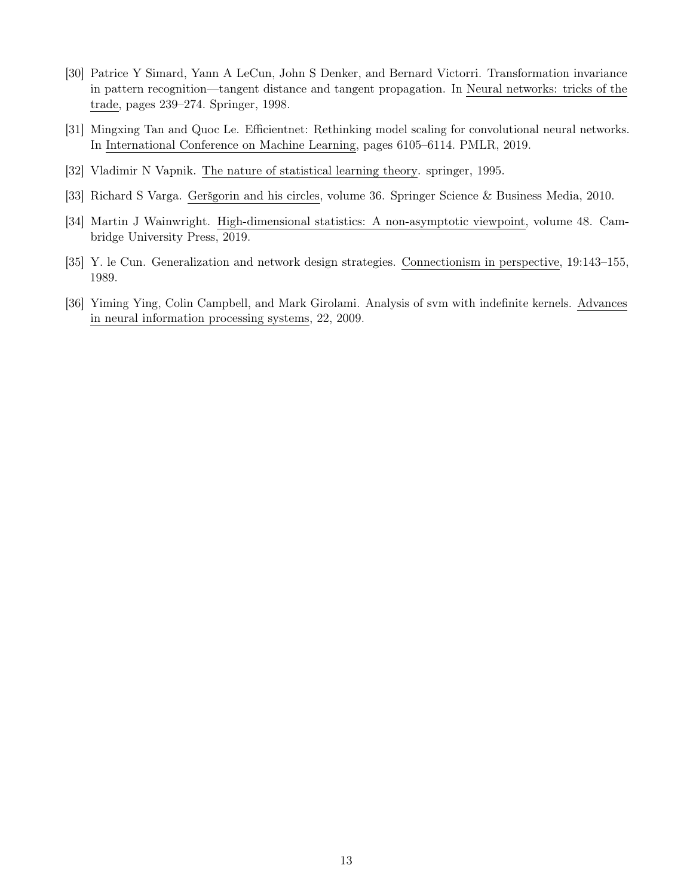- <span id="page-12-3"></span>[30] Patrice Y Simard, Yann A LeCun, John S Denker, and Bernard Victorri. Transformation invariance in pattern recognition—tangent distance and tangent propagation. In Neural networks: tricks of the trade, pages 239–274. Springer, 1998.
- <span id="page-12-1"></span>[31] Mingxing Tan and Quoc Le. Efficientnet: Rethinking model scaling for convolutional neural networks. In International Conference on Machine Learning, pages 6105–6114. PMLR, 2019.
- <span id="page-12-2"></span>[32] Vladimir N Vapnik. The nature of statistical learning theory. springer, 1995.
- <span id="page-12-5"></span>[33] Richard S Varga. Geršgorin and his circles, volume 36. Springer Science & Business Media, 2010.
- <span id="page-12-6"></span>[34] Martin J Wainwright. High-dimensional statistics: A non-asymptotic viewpoint, volume 48. Cambridge University Press, 2019.
- <span id="page-12-0"></span>[35] Y. le Cun. Generalization and network design strategies. Connectionism in perspective, 19:143–155, 1989.
- <span id="page-12-4"></span>[36] Yiming Ying, Colin Campbell, and Mark Girolami. Analysis of svm with indefinite kernels. Advances in neural information processing systems, 22, 2009.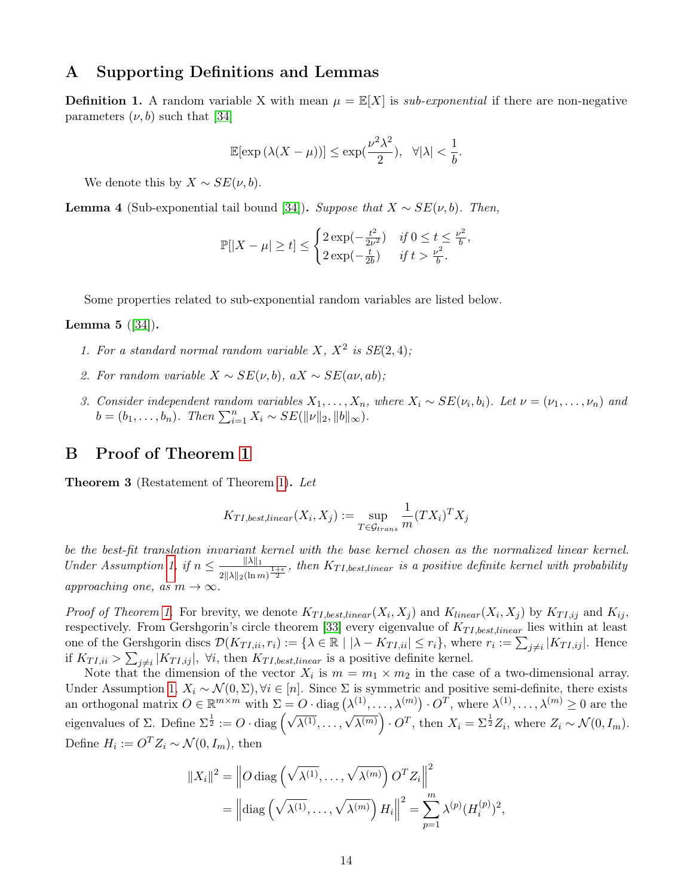### A Supporting Definitions and Lemmas

**Definition 1.** A random variable X with mean  $\mu = \mathbb{E}[X]$  is sub-exponential if there are non-negative parameters  $(\nu, b)$  such that [\[34\]](#page-12-6)

$$
\mathbb{E}[\exp(\lambda(X-\mu))] \le \exp(\frac{\nu^2\lambda^2}{2}), \quad \forall |\lambda| < \frac{1}{b}.
$$

We denote this by  $X \sim SE(\nu, b)$ .

<span id="page-13-1"></span>**Lemma 4** (Sub-exponential tail bound [\[34\]](#page-12-6)). Suppose that  $X \sim SE(\nu, b)$ . Then,

$$
\mathbb{P}[|X - \mu| \ge t] \le \begin{cases} 2\exp(-\frac{t^2}{2\nu^2}) & \text{if } 0 \le t \le \frac{\nu^2}{b}, \\ 2\exp(-\frac{t}{2b}) & \text{if } t > \frac{\nu^2}{b}. \end{cases}
$$

Some properties related to sub-exponential random variables are listed below.

#### **Lemma 5**  $(|34|)$ .

- 1. For a standard normal random variable X,  $X^2$  is  $SE(2, 4)$ ;
- 2. For random variable  $X \sim SE(\nu, b)$ , a $X \sim SE(a\nu, ab)$ ;
- 3. Consider independent random variables  $X_1, \ldots, X_n$ , where  $X_i \sim SE(\nu_i, b_i)$ . Let  $\nu = (\nu_1, \ldots, \nu_n)$  and  $b = (b_1, \ldots, b_n)$ . Then  $\sum_{i=1}^n X_i \sim SE(||\nu||_2, ||b||_{\infty})$ .

### <span id="page-13-0"></span>B Proof of Theorem [1](#page-3-1)

Theorem 3 (Restatement of Theorem [1\)](#page-3-1). Let

$$
K_{TI, best, linear}(X_i, X_j) := \sup_{T \in \mathcal{G}_{trans}} \frac{1}{m} (TX_i)^T X_j
$$

be the best-fit translation invariant kernel with the base kernel chosen as the normalized linear kernel. Under Assumption [1,](#page-3-0) if  $n \leq \frac{\|\lambda\|_1}{\| \lambda \|_1}$  $\frac{\|A\|_1}{2\|A\|_2(\ln m)^{\frac{1+\epsilon}{2}}}$ , then  $K_{TI, best, linear}$  is a positive definite kernel with probability approaching one, as  $m \to \infty$ .

*Proof of Theorem [1.](#page-3-1)* For brevity, we denote  $K_{TI, best, linear}(X_i, X_j)$  and  $K_{linear}(X_i, X_j)$  by  $K_{TI,ij}$  and  $K_{ij}$ , respectively. From Gershgorin's circle theorem [\[33\]](#page-12-5) every eigenvalue of  $K_{TI, best, linear}$  lies within at least one of the Gershgorin discs  $\mathcal{D}(K_{TI,ii}, r_i) := \{\lambda \in \mathbb{R} \mid |\lambda - K_{TI,ii}| \leq r_i\}$ , where  $r_i := \sum_{j \neq i} |K_{TI,ij}|$ . Hence if  $K_{TI,ii} > \sum_{j \neq i} |K_{TI,ij}|$ ,  $\forall i$ , then  $K_{TI, best, linear}$  is a positive definite kernel.

Note that the dimension of the vector  $X_i$  is  $m = m_1 \times m_2$  in the case of a two-dimensional array. Under Assumption [1,](#page-3-0)  $X_i \sim \mathcal{N}(0, \Sigma)$ ,  $\forall i \in [n]$ . Since  $\Sigma$  is symmetric and positive semi-definite, there exists an orthogonal matrix  $O \in \mathbb{R}^{m \times m}$  with  $\Sigma = O \cdot \text{diag}(\lambda^{(1)}, \ldots, \lambda^{(m)}) \cdot O^T$ , where  $\lambda^{(1)}, \ldots, \lambda^{(m)} \geq 0$  are the eigenvalues of  $\Sigma$ . Define  $\Sigma^{\frac{1}{2}} := O \cdot \text{diag} \left( \sqrt{\lambda^{(1)}}, \ldots, \sqrt{\lambda^{(m)}} \right) \cdot O^T$ , then  $X_i = \Sigma^{\frac{1}{2}} Z_i$ , where  $Z_i \sim \mathcal{N}(0, I_m)$ . Define  $H_i := O^T Z_i \sim \mathcal{N}(0, I_m)$ , then

$$
||X_i||^2 = \left\| O \operatorname{diag} \left( \sqrt{\lambda^{(1)}}, \dots, \sqrt{\lambda^{(m)}} \right) O^T Z_i \right\|^2
$$
  
= 
$$
\left\| \operatorname{diag} \left( \sqrt{\lambda^{(1)}}, \dots, \sqrt{\lambda^{(m)}} \right) H_i \right\|^2 = \sum_{p=1}^m \lambda^{(p)} (H_i^{(p)})^2,
$$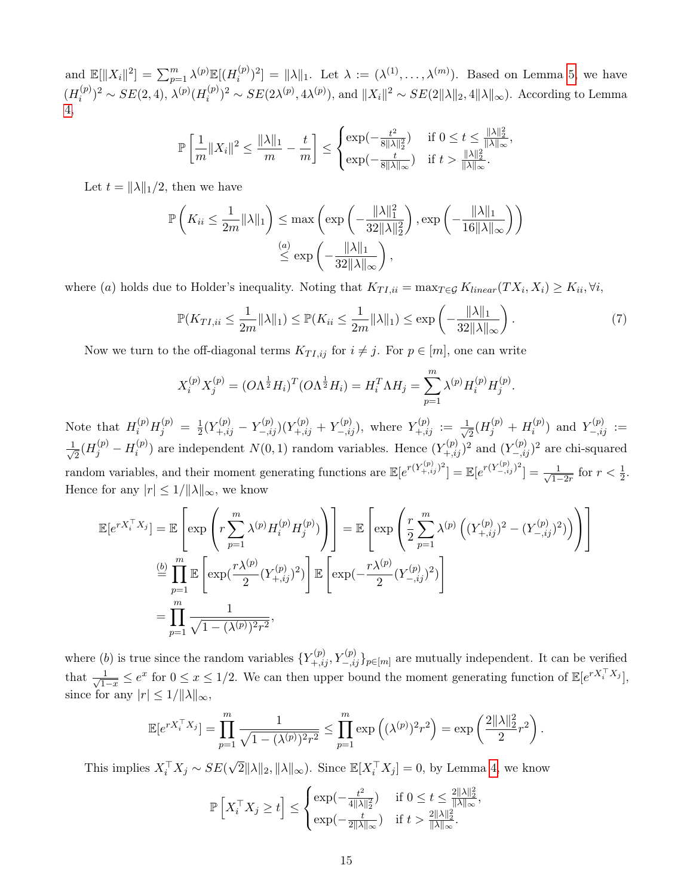and  $\mathbb{E}[\|X_i\|^2] = \sum_{p=1}^m \lambda^{(p)} \mathbb{E}[(H_i^{(p)})]$  $\lambda_i^{(p)}$ <sup>2</sup>] =  $\|\lambda\|_1$ . Let  $\lambda := (\lambda^{(1)}, \ldots, \lambda^{(m)})$ . Based on Lemma [5,](#page-0-0) we have  $(H_i^{(p)}$  $\lambda_i^{(p)})^2 \sim SE(2, 4), \lambda^{(p)}(H_i^{(p)})$  $i^{(p)}_i)^2 \sim SE(2\lambda^{(p)}, 4\lambda^{(p)})$ , and  $||X_i||^2 \sim SE(2||\lambda||_2, 4||\lambda||_{\infty})$ . According to Lemma [4,](#page-13-1)

$$
\mathbb{P}\left[\frac{1}{m}||X_i||^2 \le \frac{||\lambda||_1}{m} - \frac{t}{m}\right] \le \begin{cases} \exp(-\frac{t^2}{8||\lambda||_2^2}) & \text{if } 0 \le t \le \frac{||\lambda||_2^2}{||\lambda||_{\infty}}, \\ \exp(-\frac{t}{8||\lambda||_{\infty}}) & \text{if } t > \frac{||\lambda||_2^2}{||\lambda||_{\infty}}.\end{cases}
$$

Let  $t = ||\lambda||_1/2$ , then we have

$$
\mathbb{P}\left(K_{ii} \leq \frac{1}{2m} \|\lambda\|_{1}\right) \leq \max\left(\exp\left(-\frac{\|\lambda\|_{1}^{2}}{32\|\lambda\|_{2}^{2}}\right), \exp\left(-\frac{\|\lambda\|_{1}}{16\|\lambda\|_{\infty}}\right)\right)
$$

$$
\stackrel{(a)}{\leq} \exp\left(-\frac{\|\lambda\|_{1}}{32\|\lambda\|_{\infty}}\right),
$$

where (a) holds due to Holder's inequality. Noting that  $K_{TI,ii} = \max_{T \in \mathcal{G}} K_{linear}(TX_i, X_i) \geq K_{ii}, \forall i$ ,

$$
\mathbb{P}(K_{TI,ii} \leq \frac{1}{2m} \|\lambda\|_1) \leq \mathbb{P}(K_{ii} \leq \frac{1}{2m} \|\lambda\|_1) \leq \exp\left(-\frac{\|\lambda\|_1}{32\|\lambda\|_{\infty}}\right).
$$
\n<sup>(7)</sup>

<span id="page-14-0"></span>.

Now we turn to the off-diagonal terms  $K_{TI,ij}$  for  $i \neq j$ . For  $p \in [m]$ , one can write

$$
X_i^{(p)} X_j^{(p)} = (O\Lambda^{\frac{1}{2}} H_i)^T (O\Lambda^{\frac{1}{2}} H_i) = H_i^T \Lambda H_j = \sum_{p=1}^m \lambda^{(p)} H_i^{(p)} H_j^{(p)}
$$

Note that  $H_i^{(p)}H_j^{(p)} = \frac{1}{2}$  $\frac{1}{2}(Y^{(p)}_{+,ij}-Y^{(p)}_{-,ij})(Y^{(p)}_{+,ij}+Y^{(p)}_{-,ij}),$  where  $Y^{(p)}_{+,ij}:=\frac{1}{\sqrt{2}}$  $\frac{1}{2}(H_j^{(p)}+H_i^{(p)})$  $Y_{-,ij}^{(p)}$  and  $Y_{-,ij}^{(p)} :=$  $\frac{1}{\sqrt{2}}$  $\frac{1}{2}(H_j^{(p)}-H_i^{(p)})$  $\binom{p}{i}$  are independent  $N(0, 1)$  random variables. Hence  $(Y_{+,ij}^{(p)})^2$  and  $(Y_{-,ij}^{(p)})^2$  are chi-squared random variables, and their moment generating functions are  $\mathbb{E}[e^{r(Y_{+,ij}^{(p)})^2}] = \mathbb{E}[e^{r(Y_{-,ij}^{(p)})^2}] = \frac{1}{\sqrt{1-\epsilon}}$  $\frac{1}{1-2r}$  for  $r < \frac{1}{2}$ . Hence for any  $|r| \leq 1/||\lambda||_{\infty}$ , we know

$$
\mathbb{E}[e^{rX_i^{\top}X_j}] = \mathbb{E}\left[\exp\left(r\sum_{p=1}^m \lambda^{(p)} H_i^{(p)}\right)\right] = \mathbb{E}\left[\exp\left(\frac{r}{2}\sum_{p=1}^m \lambda^{(p)} \left((Y_{+,ij}^{(p)})^2 - (Y_{-,ij}^{(p)})^2\right)\right)\right]
$$

$$
\stackrel{\text{(b)}}{=} \prod_{p=1}^m \mathbb{E}\left[\exp(\frac{r\lambda^{(p)}}{2}(Y_{+,ij}^{(p)})^2)\right] \mathbb{E}\left[\exp(-\frac{r\lambda^{(p)}}{2}(Y_{-,ij}^{(p)})^2)\right]
$$

$$
= \prod_{p=1}^m \frac{1}{\sqrt{1 - (\lambda^{(p)})^2 r^2}},
$$

where (b) is true since the random variables  $\{Y_{+,ij}^{(p)}, Y_{-,ij}^{(p)}\}_{p \in [m]}$  are mutually independent. It can be verified that  $\frac{1}{\sqrt{1}}$  $\frac{1}{1-x} \leq e^x$  for  $0 \leq x \leq 1/2$ . We can then upper bound the moment generating function of  $\mathbb{E}[e^{rX_i^{\top}X_j}],$ since for any  $|r| \leq 1/||\lambda||_{\infty}$ ,

$$
\mathbb{E}[e^{rX_i^{\top}X_j}] = \prod_{p=1}^m \frac{1}{\sqrt{1 - (\lambda^{(p)})^2 r^2}} \le \prod_{p=1}^m \exp\left((\lambda^{(p)})^2 r^2\right) = \exp\left(\frac{2\|\lambda\|_2^2}{2} r^2\right).
$$

This implies  $X_i^{\top} X_j \sim SE($  $\sqrt{2}||\lambda||_2$ ,  $||\lambda||_{\infty}$ ). Since  $\mathbb{E}[X_i^\top X_j] = 0$ , by Lemma [4,](#page-13-1) we know

$$
\mathbb{P}\left[X_i^{\top} X_j \ge t\right] \le \begin{cases} \exp(-\frac{t^2}{4\|\lambda\|_2^2}) & \text{if } 0 \le t \le \frac{2\|\lambda\|_2^2}{\|\lambda\|_{\infty}},\\ \exp(-\frac{t}{2\|\lambda\|_{\infty}}) & \text{if } t > \frac{2\|\lambda\|_2^2}{\|\lambda\|_{\infty}}. \end{cases}
$$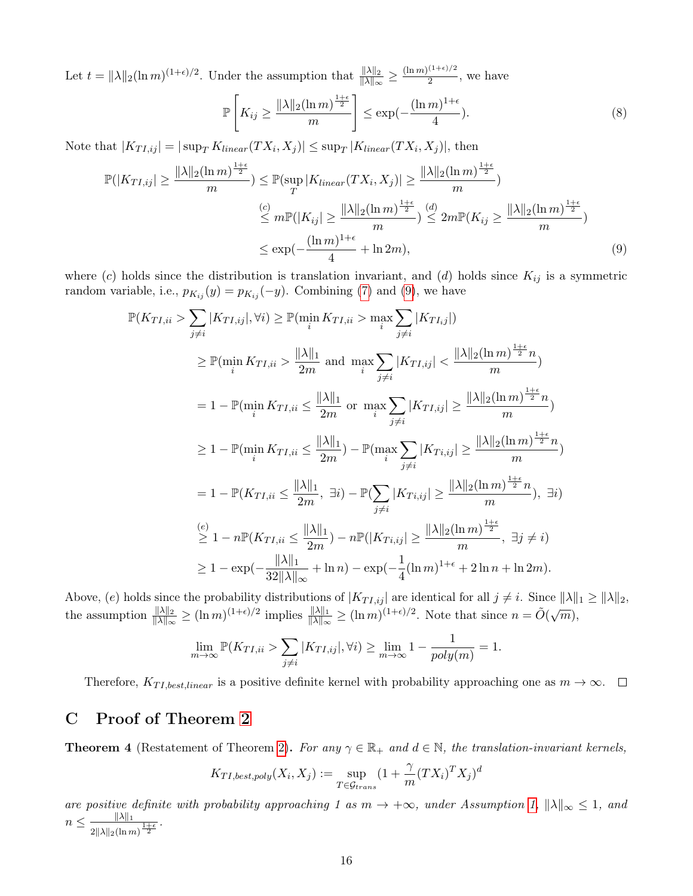Let  $t = \frac{\|\lambda\|_2 (\ln m)^{(1+\epsilon)/2}}{2}$ . Under the assumption that  $\frac{\|\lambda\|_2}{\|\lambda\|_{\infty}} \ge \frac{(\ln m)^{(1+\epsilon)/2}}{2}$  $\frac{1}{2}$ , we have

<span id="page-15-2"></span><span id="page-15-1"></span>
$$
\mathbb{P}\left[K_{ij} \ge \frac{\|\lambda\|_2 (\ln m)^{\frac{1+\epsilon}{2}}}{m}\right] \le \exp(-\frac{(\ln m)^{1+\epsilon}}{4}).\tag{8}
$$

Note that  $|K_{TI,ij}| = |\sup_T K_{linear}(TX_i, X_j)| \leq \sup_T |K_{linear}(TX_i, X_j)|$ , then

$$
\mathbb{P}(|K_{TI,ij}| \ge \frac{\|\lambda\|_2 (\ln m)^{\frac{1+\epsilon}{2}}}{m}) \le \mathbb{P}(\sup_T |K_{linear}(TX_i, X_j)| \ge \frac{\|\lambda\|_2 (\ln m)^{\frac{1+\epsilon}{2}}}{m})
$$
  

$$
\le m \mathbb{P}(|K_{ij}| \ge \frac{\|\lambda\|_2 (\ln m)^{\frac{1+\epsilon}{2}}}{m}) \le 2m \mathbb{P}(K_{ij} \ge \frac{\|\lambda\|_2 (\ln m)^{\frac{1+\epsilon}{2}}}{m})
$$
  

$$
\le \exp(-\frac{(\ln m)^{1+\epsilon}}{4} + \ln 2m),
$$
 (9)

where (c) holds since the distribution is translation invariant, and (d) holds since  $K_{ij}$  is a symmetric random variable, i.e.,  $p_{K_{ij}}(y) = p_{K_{ij}}(-y)$ . Combining [\(7\)](#page-14-0) and [\(9\)](#page-15-1), we have

$$
\mathbb{P}(K_{TI,ii} > \sum_{j \neq i} |K_{TI,ij}|, \forall i) \geq \mathbb{P}(\min_{i} K_{TI,ii} > \max_{i} \sum_{j \neq i} |K_{TI,j}|)
$$
\n
$$
\geq \mathbb{P}(\min_{i} K_{TI,ii} > \frac{||\lambda||_1}{2m} \text{ and } \max_{i} \sum_{j \neq i} |K_{TI,ij}| < \frac{||\lambda||_2 (\ln m)^{\frac{1+\epsilon}{2}} n}{m})
$$
\n
$$
= 1 - \mathbb{P}(\min_{i} K_{TI,ii} \leq \frac{||\lambda||_1}{2m} \text{ or } \max_{i} \sum_{j \neq i} |K_{TI,ij}| \geq \frac{||\lambda||_2 (\ln m)^{\frac{1+\epsilon}{2}} n}{m})
$$
\n
$$
\geq 1 - \mathbb{P}(\min_{i} K_{TI,ii} \leq \frac{||\lambda||_1}{2m}) - \mathbb{P}(\max_{i} \sum_{j \neq i} |K_{Ti,ij}| \geq \frac{||\lambda||_2 (\ln m)^{\frac{1+\epsilon}{2}} n}{m})
$$
\n
$$
= 1 - \mathbb{P}(K_{TI,ii} \leq \frac{||\lambda||_1}{2m}, \exists i) - \mathbb{P}(\sum_{j \neq i} |K_{Ti,ij}| \geq \frac{||\lambda||_2 (\ln m)^{\frac{1+\epsilon}{2}} n}{m}), \exists i)
$$
\n
$$
\stackrel{(e)}{\geq} 1 - n \mathbb{P}(K_{TI,ii} \leq \frac{||\lambda||_1}{2m}) - n \mathbb{P}(|K_{Ti,ij}| \geq \frac{||\lambda||_2 (\ln m)^{\frac{1+\epsilon}{2}}}{m}, \exists j \neq i)
$$
\n
$$
\geq 1 - \exp(-\frac{||\lambda||_1}{32||\lambda||_{\infty}} + \ln n) - \exp(-\frac{1}{4} (\ln m)^{1+\epsilon} + 2 \ln n + \ln 2m).
$$

Above, (e) holds since the probability distributions of  $|K_{TI,ij}|$  are identical for all  $j \neq i$ . Since  $\|\lambda\|_1 \geq \|\lambda\|_2$ , the assumption  $\frac{\|\lambda\|_2}{\|\lambda\|_{\infty}} \ge (\ln m)^{(1+\epsilon)/2}$  implies  $\frac{\|\lambda\|_1}{\|\lambda\|_{\infty}} \ge (\ln m)^{(1+\epsilon)/2}$ . Note that since  $n = \tilde{O}(\sqrt{m})$ ,

$$
\lim_{m \to \infty} \mathbb{P}(K_{TI,ii} > \sum_{j \neq i} |K_{TI,ij}|, \forall i) \ge \lim_{m \to \infty} 1 - \frac{1}{poly(m)} = 1.
$$

Therefore,  $K_{TI, best, linear}$  is a positive definite kernel with probability approaching one as  $m \to \infty$ .  $\Box$ 

# <span id="page-15-0"></span>C Proof of Theorem [2](#page-4-2)

**Theorem 4** (Restatement of Theorem [2\)](#page-4-2). For any  $\gamma \in \mathbb{R}_+$  and  $d \in \mathbb{N}$ , the translation-invariant kernels,

$$
K_{TI, best, poly}(X_i, X_j) := \sup_{T \in \mathcal{G}_{trans}} (1 + \frac{\gamma}{m} (TX_i)^T X_j)^d
$$

are positive definite with probability approaching 1 as  $m \to +\infty$ , under Assumption [1,](#page-3-0)  $\|\lambda\|_{\infty} \leq 1$ , and  $n \leq \frac{\|\lambda\|_1}{\| \lambda \|_1}$  $\frac{\|\lambda\|_1}{2\|\lambda\|_2(\ln m)^{\frac{1+\epsilon}{2}}}.$